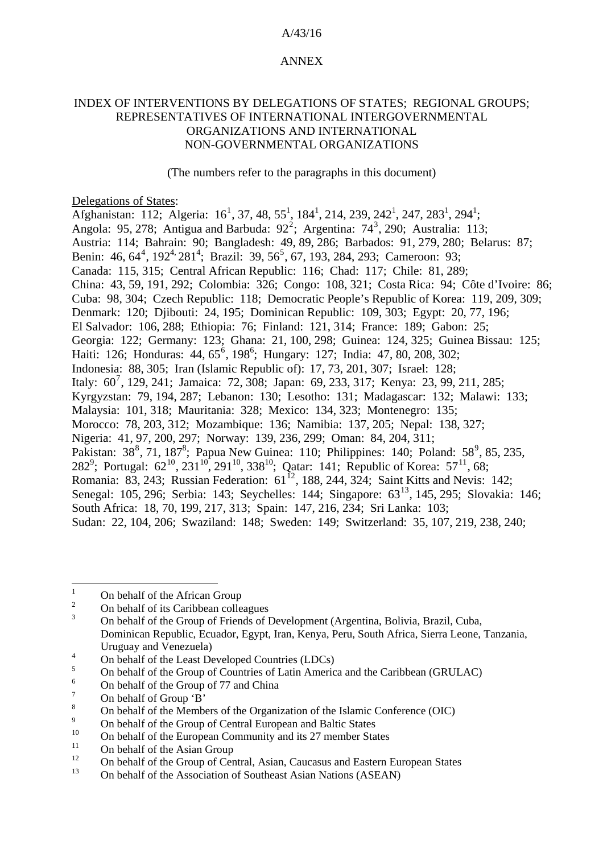## A/43/16

## ANNEX

## INDEX OF INTERVENTIONS BY DELEGATIONS OF STATES; REGIONAL GROUPS; REPRESENTATIVES OF INTERNATIONAL INTERGOVERNMENTAL ORGANIZATIONS AND INTERNATIONAL NON-GOVERNMENTAL ORGANIZATIONS

(The numbers refer to the paragraphs in this document)

Delegations of States:

<span id="page-0-15"></span><span id="page-0-14"></span><span id="page-0-13"></span>Afghanistan: [1](#page-0-13)12; Algeria: 16<sup>1</sup>, 37, 48, 55<sup>1</sup>, 184<sup>1</sup>, 214, 239, 242<sup>1</sup>, 247, 283<sup>1</sup>, 294<sup>1</sup>; Angola: 95, [2](#page-0-1)78; Antigua and Barbuda:  $92^2$ ; Argentina: 74<sup>[3](#page-0-2)</sup>, 290; Australia: 113; Austria: 114; Bahrain: 90; Bangladesh: 49, 89, 286; Barbados: 91, 279, 280; Belarus: 87; Benin: [4](#page-0-14)6, 64<sup>4</sup>, 192<sup>[4,](#page-0-14)</sup> 281<sup>4</sup>; Brazil: 39, [5](#page-0-4)6<sup>5</sup>, 67, 193, 284, 293; Cameroon: 93; Canada: 115, 315; Central African Republic: 116; Chad: 117; Chile: 81, 289; China: 43, 59, 191, 292; Colombia: 326; Congo: 108, 321; Costa Rica: 94; Côte d'Ivoire: 86; Cuba: 98, 304; Czech Republic: 118; Democratic People's Republic of Korea: 119, 209, 309; Denmark: 120; Djibouti: 24, 195; Dominican Republic: 109, 303; Egypt: 20, 77, 196; El Salvador: 106, 288; Ethiopia: 76; Finland: 121, 314; France: 189; Gabon: 25; Georgia: 122; Germany: 123; Ghana: 21, 100, 298; Guinea: 124, 325; Guinea Bissau: 125; Haiti: 12[6](#page-0-15); Honduras: 44, 65<sup>6</sup>, 198<sup>6</sup>; Hungary: 127; India: 47, 80, 208, 302; Indonesia: 88, 305; Iran (Islamic Republic of): 17, 73, 201, 307; Israel: 128; Italy: 60<sup>[7](#page-0-6)</sup>, 129, 241; Jamaica: 72, 308; Japan: 69, 233, 317; Kenya: 23, 99, 211, 285; Kyrgyzstan: 79, 194, 287; Lebanon: 130; Lesotho: 131; Madagascar: 132; Malawi: 133; Malaysia: 101, 318; Mauritania: 328; Mexico: 134, 323; Montenegro: 135; Morocco: 78, 203, 312; Mozambique: 136; Namibia: 137, 205; Nepal: 138, 327; Nigeria: 41, 97, 200, 297; Norway: 139, 236, 299; Oman: 84, 204, 311; Pakistan: 3[8](#page-0-16)<sup>8</sup>, 71, 187<sup>8</sup>; Papua New Guinea: 110; Philippines: 140; Poland: 58<sup>[9](#page-0-8)</sup>, 85, 235, 282<sup>[9](#page-0-16)</sup>; Portugal:  $62^{10}$  $62^{10}$  $62^{10}$ , 231<sup>10</sup>, 291<sup>10</sup>, 338<sup>10</sup>; Qatar: 141; Republic of Korea: 57<sup>[11](#page-0-10)</sup>, 68; Romania: 83, 243; Russian Federation:  $61^{12}$ , 188, 244, 324; Saint Kitts and Nevis: 142; [Senegal: 105, 296; Serbia: 143; Seychelles: 144; Singapore: 63](#page-0-11)<sup>13</sup>, 145, 295; Slovakia: 146; [South Africa: 18, 70, 199, 217, 313; Spain: 147, 216, 234; Sri Lanka: 103;](#page-0-12)  [Sudan: 22, 104, 206; Swaziland: 148; Sweden: 149; Switzerland: 35, 107, 219, 238, 240;](#page-0-12) 

<span id="page-0-17"></span><span id="page-0-16"></span> $\frac{1}{1}$ On behalf of the African Group

<span id="page-0-1"></span><span id="page-0-0"></span><sup>2</sup> On behalf of its Caribbean colleagues

<span id="page-0-2"></span><sup>3</sup> On behalf of the Group of Friends of Development (Argentina, Bolivia, Brazil, Cuba, Dominican Republic, Ecuador, Egypt, Iran, Kenya, Peru, South Africa, Sierra Leone, Tanzania, Uruguay and Venezuela)

<span id="page-0-3"></span><sup>4</sup> On behalf of the Least Developed Countries (LDCs)

<span id="page-0-4"></span><sup>5</sup> On behalf of the Group of Countries of Latin America and the Caribbean (GRULAC)

<span id="page-0-5"></span><sup>6</sup> On behalf of the Group of 77 and China

<span id="page-0-6"></span><sup>7</sup> On behalf of Group 'B'

<span id="page-0-7"></span><sup>8</sup> On behalf of the Members of the Organization of the Islamic Conference (OIC)

<span id="page-0-8"></span> $\overline{9}$ <sup>9</sup> On behalf of the Group of Central European and Baltic States<br><sup>10</sup> On behalf of the European Community and its 27 momber States

<span id="page-0-9"></span><sup>&</sup>lt;sup>10</sup> On behalf of the European Community and its 27 member States

<span id="page-0-10"></span><sup>&</sup>lt;sup>11</sup> On behalf of the Asian Group

<span id="page-0-12"></span><span id="page-0-11"></span><sup>&</sup>lt;sup>12</sup> On behalf of the Group of Central, Asian, Caucasus and Eastern European States<br><sup>13</sup> On behalf of the Association of Southeast Asian Nations (ASEAN)

<sup>13</sup> On behalf of the Association of Southeast Asian Nations (ASEAN)